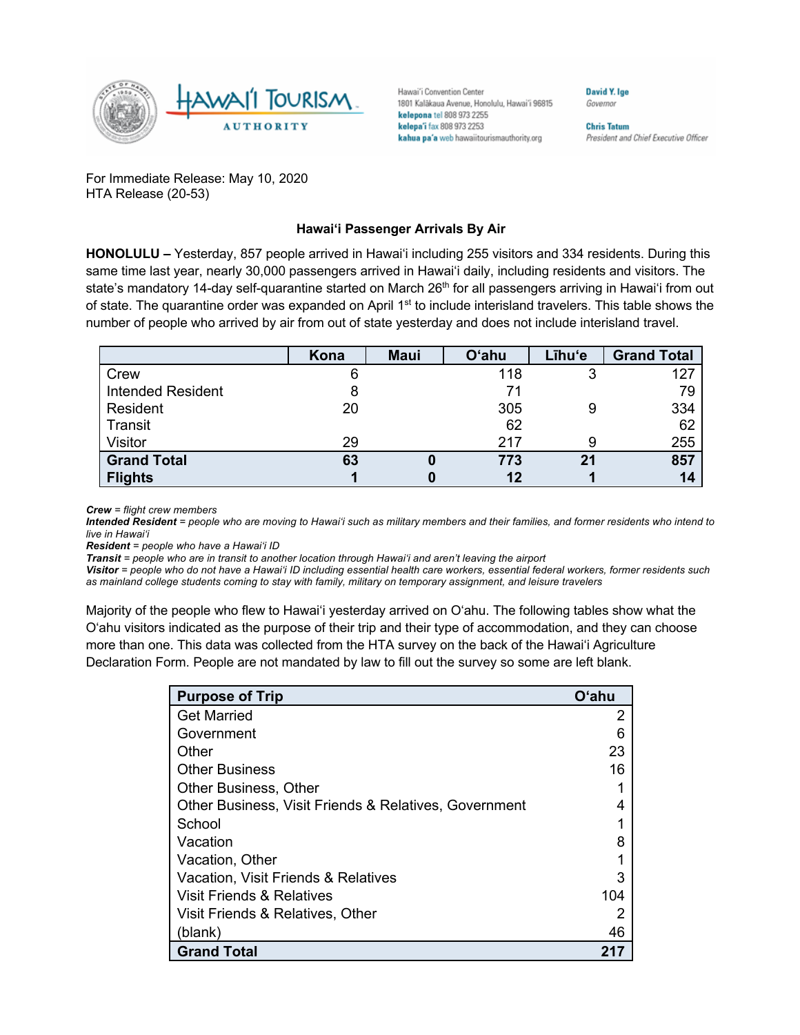

Hawai'i Convention Center 1801 Kalakaua Avenue, Honolulu, Hawai'i 96815 kelepona tel 808 973 2255 kelepa'i fax 808 973 2253 kahua pa'a web hawaiitourismauthority.org

Governor

David Y. Ige

**Chris Tatum** President and Chief Executive Officer

For Immediate Release: May 10, 2020 HTA Release (20-53)

## **Hawai'i Passenger Arrivals By Air**

**HONOLULU –** Yesterday, 857 people arrived in Hawai'i including 255 visitors and 334 residents. During this same time last year, nearly 30,000 passengers arrived in Hawai'i daily, including residents and visitors. The state's mandatory 14-day self-quarantine started on March 26<sup>th</sup> for all passengers arriving in Hawai'i from out of state. The quarantine order was expanded on April 1<sup>st</sup> to include interisland travelers. This table shows the number of people who arrived by air from out of state yesterday and does not include interisland travel.

|                          | Kona | <b>Maui</b> | <b>O'ahu</b> | Līhu'e | <b>Grand Total</b> |
|--------------------------|------|-------------|--------------|--------|--------------------|
| Crew                     | 6    |             | 118          |        | 127                |
| <b>Intended Resident</b> |      |             | 71           |        | 79                 |
| Resident                 | 20   |             | 305          |        | 334                |
| Transit                  |      |             | 62           |        | 62                 |
| Visitor                  | 29   |             | 217          |        | 255                |
| <b>Grand Total</b>       | 63   |             | 773          | 21     | 857                |
| <b>Flights</b>           |      |             | 12           |        | 14                 |

*Crew = flight crew members*

*Intended Resident = people who are moving to Hawai'i such as military members and their families, and former residents who intend to live in Hawai'i* 

*Resident = people who have a Hawai'i ID*

*Transit = people who are in transit to another location through Hawai'i and aren't leaving the airport*

*Visitor = people who do not have a Hawai'i ID including essential health care workers, essential federal workers, former residents such as mainland college students coming to stay with family, military on temporary assignment, and leisure travelers*

Majority of the people who flew to Hawai'i yesterday arrived on O'ahu. The following tables show what the O'ahu visitors indicated as the purpose of their trip and their type of accommodation, and they can choose more than one. This data was collected from the HTA survey on the back of the Hawai'i Agriculture Declaration Form. People are not mandated by law to fill out the survey so some are left blank.

| <b>Purpose of Trip</b>                                | <b>O'ahu</b> |
|-------------------------------------------------------|--------------|
| <b>Get Married</b>                                    | 2            |
| Government                                            |              |
| Other                                                 | 23           |
| <b>Other Business</b>                                 | 16           |
| <b>Other Business, Other</b>                          |              |
| Other Business, Visit Friends & Relatives, Government |              |
| School                                                |              |
| Vacation                                              |              |
| Vacation, Other                                       |              |
| Vacation, Visit Friends & Relatives                   |              |
| Visit Friends & Relatives                             | 104          |
| Visit Friends & Relatives, Other                      |              |
| (blank)                                               | 46           |
| <b>Grand Total</b>                                    | 21.          |